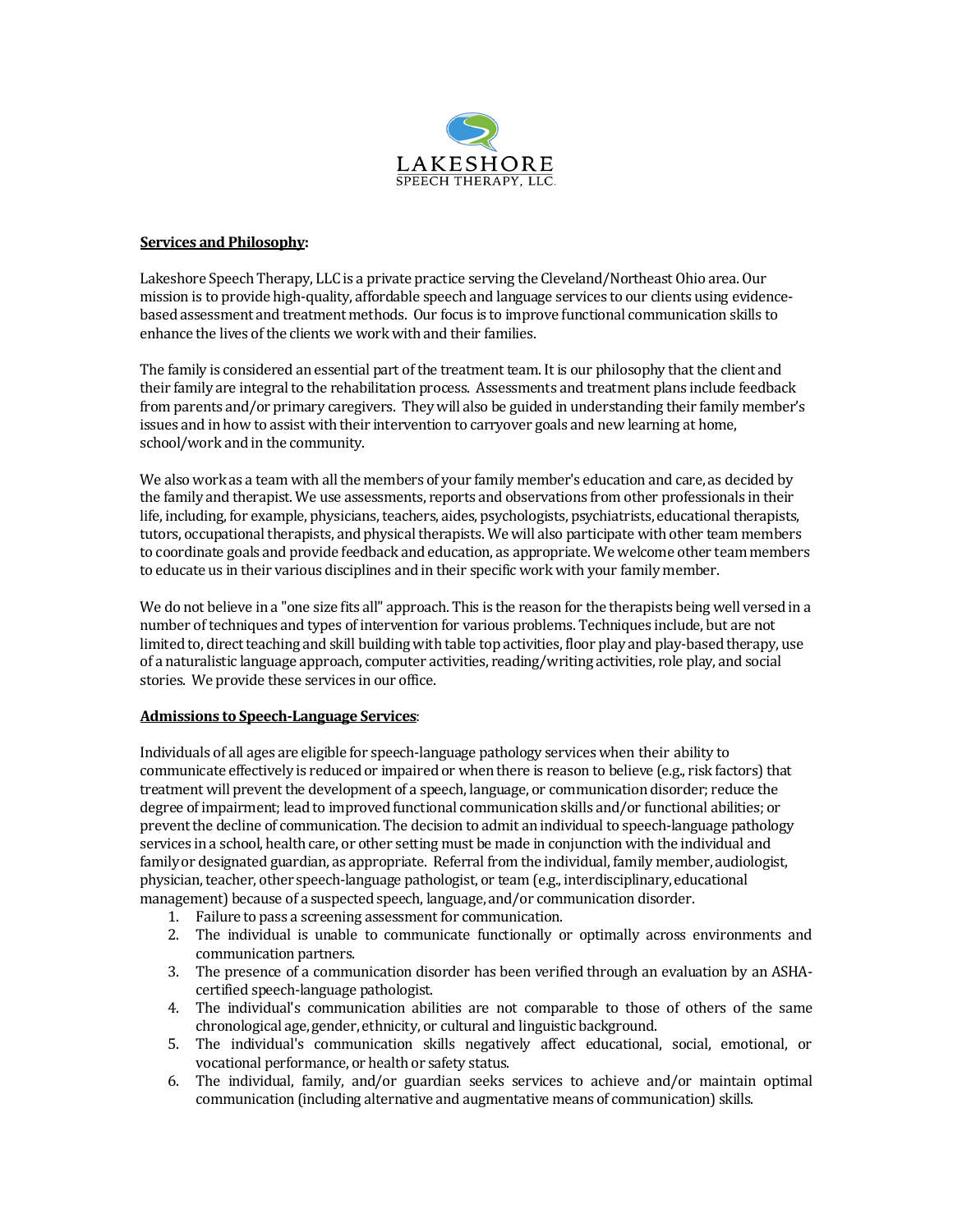

### **Services and Philosophy:**

Lakeshore Speech Therapy, LLC is a private practice serving the Cleveland/Northeast Ohio area. Our mission is to provide high-quality, affordable speech and language services to our clients using evidencebased assessment and treatment methods. Our focus is to improve functional communication skills to enhance the lives of the clients we work with and their families.

The family is considered an essential part of the treatment team. It is our philosophy that the client and their family are integral to the rehabilitation process. Assessments and treatment plans include feedback from parents and/or primary caregivers. They will also be guided in understanding their family member's issues and in how to assist with their intervention to carryover goals and new learning at home, school/work and in the community.

We also work as a team with all the members of your family member's education and care, as decided by the family and therapist. We use assessments, reports and observations from other professionals in their life, including, for example, physicians, teachers, aides, psychologists, psychiatrists, educational therapists, tutors, occupational therapists, and physical therapists. We will also participate with other team members to coordinate goals and provide feedback and education, as appropriate. We welcome other team members to educate us in their various disciplines and in their specific work with your family member.

We do not believe in a "one size fits all" approach. This is the reason for the therapists being well versed in a number of techniques and types of intervention for various problems. Techniques include, but are not limited to, direct teaching and skill building with table top activities, floor play and play-based therapy, use of a naturalistic language approach, computer activities, reading/writing activities, role play, and social stories. We provide these services in our office.

### **Admissions to Speech-Language Services**:

Individuals of all ages are eligible for speech-language pathology services when their ability to communicate effectively is reduced or impaired or when there is reason to believe (e.g., risk factors) that treatment will prevent the development of a speech, language, or communication disorder; reduce the degree of impairment; lead to improved functional communication skills and/or functional abilities; or prevent the decline of communication. The decision to admit an individual to speech-language pathology services in a school, health care, or other setting must be made in conjunction with the individual and familyor designated guardian, as appropriate. Referral from the individual, family member, audiologist, physician, teacher, other speech-language pathologist, or team (e.g., interdisciplinary, educational management) because of a suspected speech, language, and/or communication disorder.

- 1. Failure to pass a screening assessment for communication.
- 2. The individual is unable to communicate functionally or optimally across environments and communication partners.
- 3. The presence of a communication disorder has been verified through an evaluation by an ASHAcertified speech-language pathologist.
- 4. The individual's communication abilities are not comparable to those of others of the same chronological age, gender, ethnicity, or cultural and linguistic background.
- 5. The individual's communication skills negatively affect educational, social, emotional, or vocational performance, or health or safety status.
- 6. The individual, family, and/or guardian seeks services to achieve and/or maintain optimal communication (including alternative and augmentative means of communication) skills.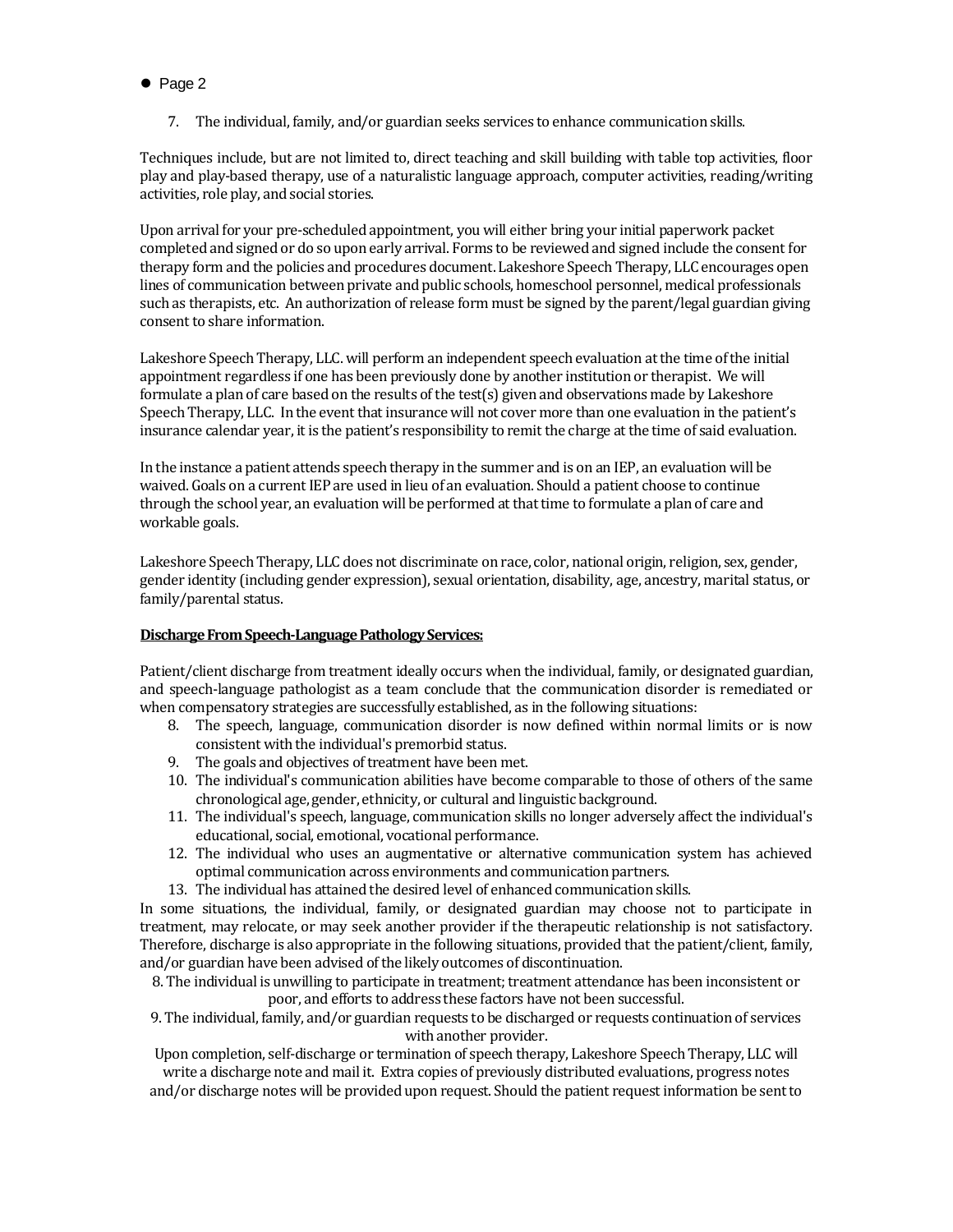7. The individual, family, and/or guardian seeks services to enhance communication skills.

Techniques include, but are not limited to, direct teaching and skill building with table top activities, floor play and play-based therapy, use of a naturalistic language approach, computer activities, reading/writing activities, role play, and social stories.

Upon arrival for your pre-scheduled appointment, you will either bring your initial paperwork packet completed and signed or do so upon early arrival. Forms to be reviewed and signed include the consent for therapy form and the policies and procedures document. Lakeshore Speech Therapy, LLC encourages open lines of communication between private and public schools, homeschool personnel, medical professionals such as therapists, etc. An authorization of release form must be signed by the parent/legal guardian giving consent to share information.

Lakeshore Speech Therapy, LLC. will perform an independent speech evaluation at the time of the initial appointment regardless if one has been previously done by another institution or therapist. We will formulate a plan of care based on the results of the test(s) given and observations made by Lakeshore Speech Therapy, LLC. In the event that insurance will not cover more than one evaluation in the patient's insurance calendar year, it is the patient's responsibility to remit the charge at the time of said evaluation.

In the instance a patient attends speech therapy in the summer and is on an IEP, an evaluation will be waived. Goals on a current IEP are used in lieu of an evaluation. Should a patient choose to continue through the school year, an evaluation will be performed at that time to formulate a plan of care and workable goals.

Lakeshore Speech Therapy, LLC does not discriminate on race, color, national origin, religion, sex, gender, gender identity (including gender expression), sexual orientation, disability, age, ancestry, marital status, or family/parental status.

# **Discharge From Speech-Language Pathology Services:**

Patient/client discharge from treatment ideally occurs when the individual, family, or designated guardian, and speech-language pathologist as a team conclude that the communication disorder is remediated or when compensatory strategies are successfully established, as in the following situations:

- 8. The speech, language, communication disorder is now defined within normal limits or is now consistent with the individual's premorbid status.
- 9. The goals and objectives of treatment have been met.
- 10. The individual's communication abilities have become comparable to those of others of the same chronological age, gender, ethnicity, or cultural and linguistic background.
- 11. The individual's speech, language, communication skills no longer adversely affect the individual's educational, social, emotional, vocational performance.
- 12. The individual who uses an augmentative or alternative communication system has achieved optimal communication across environments and communication partners.
- 13. The individual has attained the desired level of enhanced communication skills.

In some situations, the individual, family, or designated guardian may choose not to participate in treatment, may relocate, or may seek another provider if the therapeutic relationship is not satisfactory. Therefore, discharge is also appropriate in the following situations, provided that the patient/client, family, and/or guardian have been advised of the likely outcomes of discontinuation.

8. The individual is unwilling to participate in treatment; treatment attendance has been inconsistent or poor, and efforts to address these factors have not been successful.

9. The individual, family, and/or guardian requests to be discharged or requests continuation of services with another provider.

Upon completion, self-discharge or termination of speech therapy, Lakeshore Speech Therapy, LLC will write a discharge note and mail it. Extra copies of previously distributed evaluations, progress notes

and/or discharge notes will be provided upon request. Should the patient request information be sent to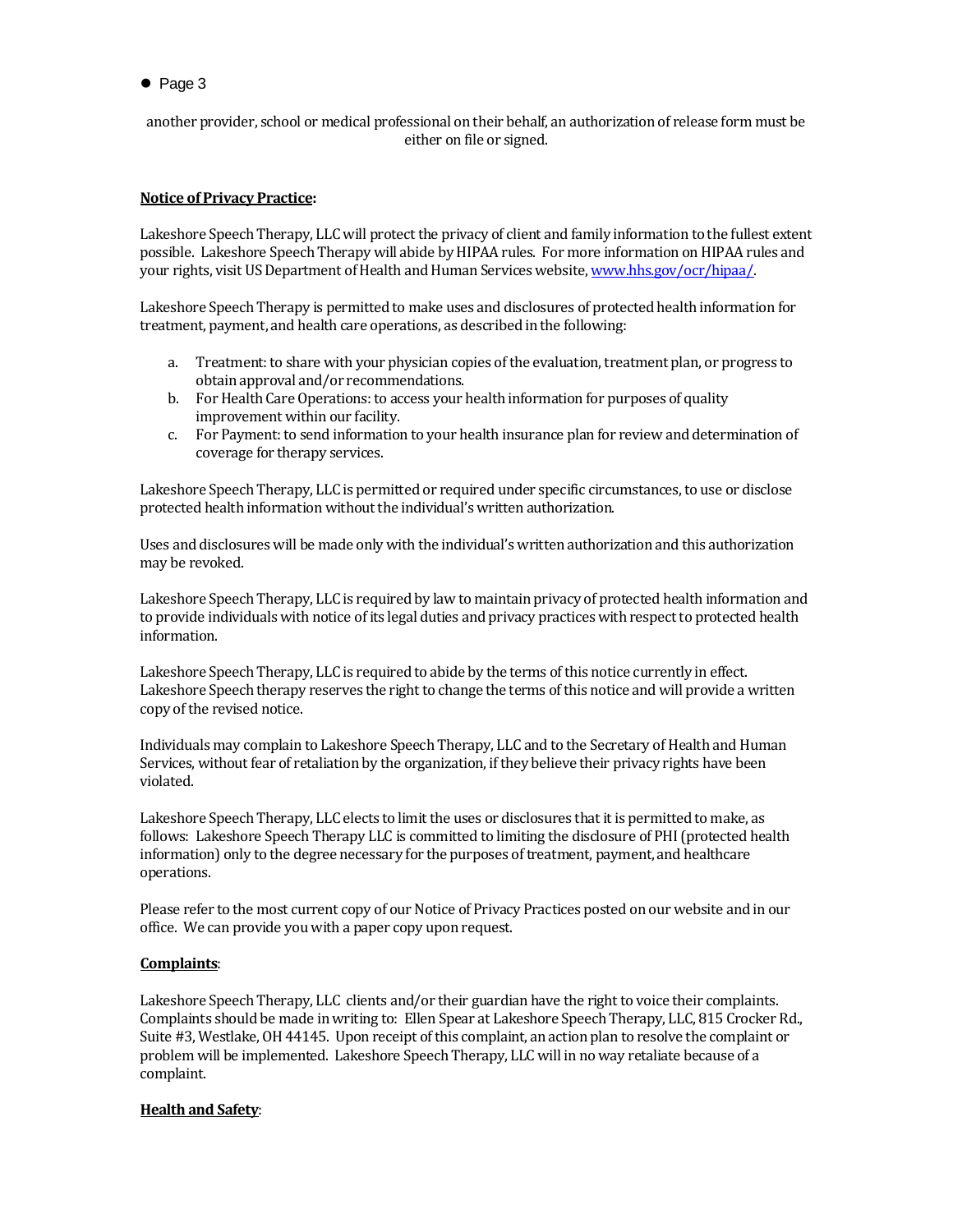another provider, school or medical professional on their behalf, an authorization of release form must be either on file or signed.

# **Notice of Privacy Practice:**

Lakeshore Speech Therapy, LLC will protect the privacy of client and family information to the fullest extent possible. Lakeshore Speech Therapy will abide by HIPAA rules. For more information on HIPAA rules and your rights, visit US Department of Health and Human Services website[, www.hhs.gov/ocr/hipaa/.](http://www.hhs.gov/ocr/hipaa/)

Lakeshore Speech Therapy is permitted to make uses and disclosures of protected health information for treatment, payment, and health care operations, as described in the following:

- a. Treatment: to share with your physician copies of the evaluation, treatment plan, or progress to obtain approval and/or recommendations.
- b. For Health Care Operations: to access your health information for purposes of quality improvement within our facility.
- c. For Payment: to send information to your health insurance plan for review and determination of coverage for therapy services.

Lakeshore Speech Therapy, LLC is permitted or required under specific circumstances, to use or disclose protected health information without the individual's written authorization.

Uses and disclosures will be made only with the individual's written authorization and this authorization may be revoked.

Lakeshore Speech Therapy, LLC is required by law to maintain privacy of protected health information and to provide individuals with notice of its legal duties and privacy practices with respect to protected health information.

Lakeshore Speech Therapy, LLC is required to abide by the terms of this notice currently in effect. Lakeshore Speech therapy reserves the right to change the terms of this notice and will provide a written copy of the revised notice.

Individuals may complain to Lakeshore Speech Therapy, LLC and to the Secretary of Health and Human Services, without fear of retaliation by the organization, if they believe their privacy rights have been violated.

Lakeshore Speech Therapy, LLC elects to limit the uses or disclosures that it is permitted to make, as follows: Lakeshore Speech Therapy LLC is committed to limiting the disclosure of PHI (protected health information) only to the degree necessary for the purposes of treatment, payment, and healthcare operations.

Please refer to the most current copy of our Notice of Privacy Practices posted on our website and in our office. We can provide you with a paper copy upon request.

### **Complaints**:

Lakeshore Speech Therapy, LLC clients and/or their guardian have the right to voice their complaints. Complaints should be made in writing to: Ellen Spear at Lakeshore Speech Therapy, LLC, 815 Crocker Rd., Suite #3, Westlake, OH 44145. Upon receipt of this complaint, an action plan to resolve the complaint or problem will be implemented. Lakeshore Speech Therapy, LLC will in no way retaliate because of a complaint.

### **Health and Safety**: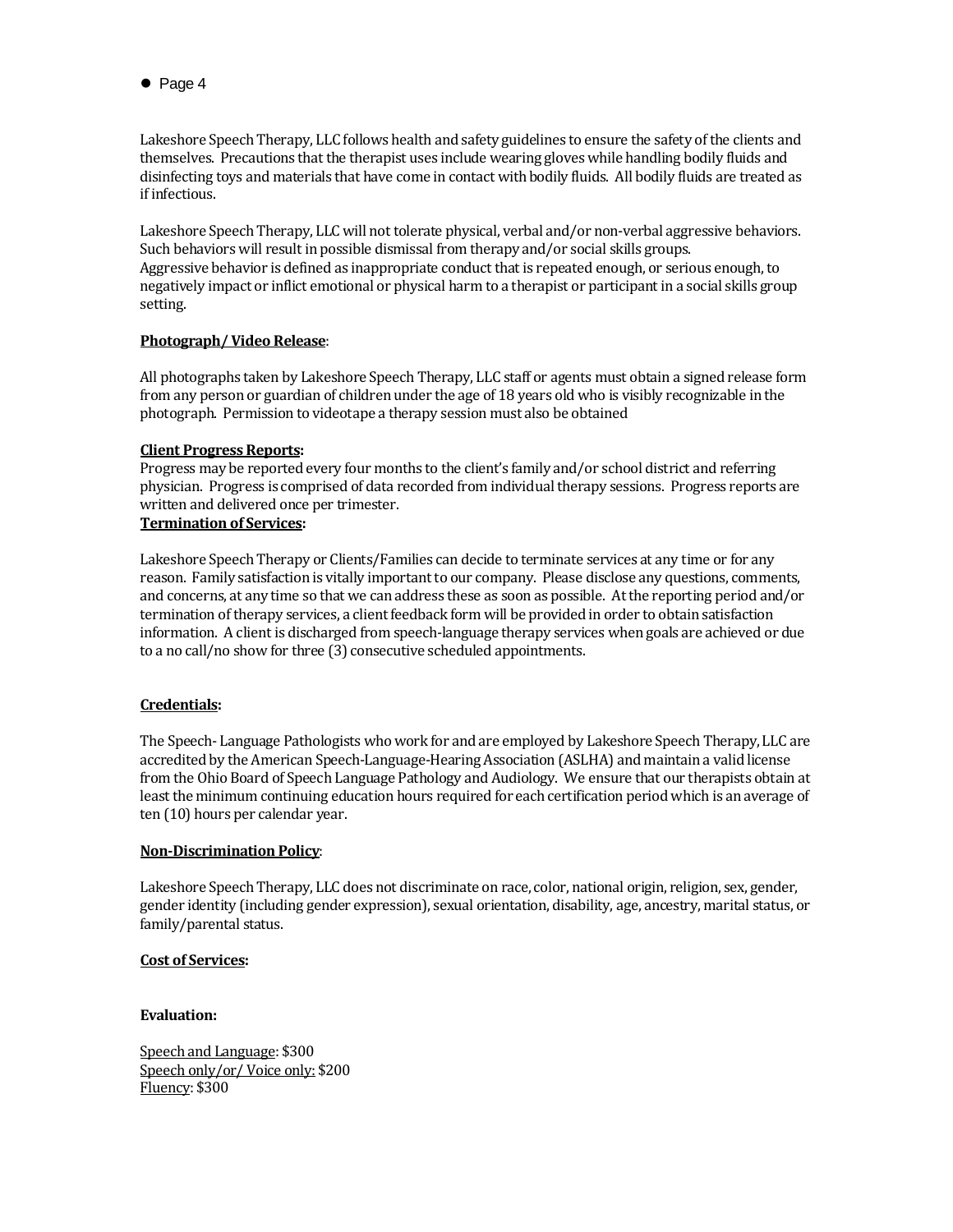Lakeshore Speech Therapy, LLC follows health and safety guidelines to ensure the safety of the clients and themselves. Precautions that the therapist uses include wearing gloves while handling bodily fluids and disinfecting toys and materials that have come in contact with bodily fluids. All bodily fluids are treated as if infectious.

Lakeshore Speech Therapy, LLC will not tolerate physical, verbal and/or non-verbal aggressive behaviors. Such behaviors will result in possible dismissal from therapy and/or social skills groups. Aggressive behavior is defined as inappropriate conduct that is repeated enough, or serious enough, to negatively impact or inflict emotional or physical harm to a therapist or participant in a social skills group setting.

### **Photograph/ Video Release**:

All photographs taken by Lakeshore Speech Therapy, LLC staff or agents must obtain a signed release form from any person or guardian of children under the age of 18 years old who is visibly recognizable in the photograph. Permission to videotape a therapy session must also be obtained

# **Client Progress Reports:**

Progress may be reported every four months to the client's family and/or school district and referring physician. Progress is comprised of data recorded from individual therapy sessions. Progress reports are written and delivered once per trimester.

# **Termination of Services:**

Lakeshore Speech Therapy or Clients/Families can decide to terminate services at any time or for any reason. Family satisfaction is vitally important to our company. Please disclose any questions, comments, and concerns, at any time so that we can address these as soon as possible. At the reporting period and/or termination of therapy services, a client feedback form will be provided in order to obtain satisfaction information. A client is discharged from speech-language therapy services when goals are achieved or due to a no call/no show for three (3) consecutive scheduled appointments.

### **Credentials:**

The Speech- Language Pathologists who work for and are employed by Lakeshore Speech Therapy, LLC are accredited by the American Speech-Language-Hearing Association (ASLHA) and maintain a valid license from the Ohio Board of Speech Language Pathology and Audiology. We ensure that our therapists obtain at least the minimum continuing education hours required for each certification period which is an average of ten (10) hours per calendar year.

### **Non-Discrimination Policy**:

Lakeshore Speech Therapy, LLC does not discriminate on race, color, national origin, religion, sex, gender, gender identity (including gender expression), sexual orientation, disability, age, ancestry, marital status, or family/parental status.

### **Cost of Services:**

### **Evaluation:**

Speech and Language: \$300 Speech only/or/ Voice only: \$200 Fluency: \$300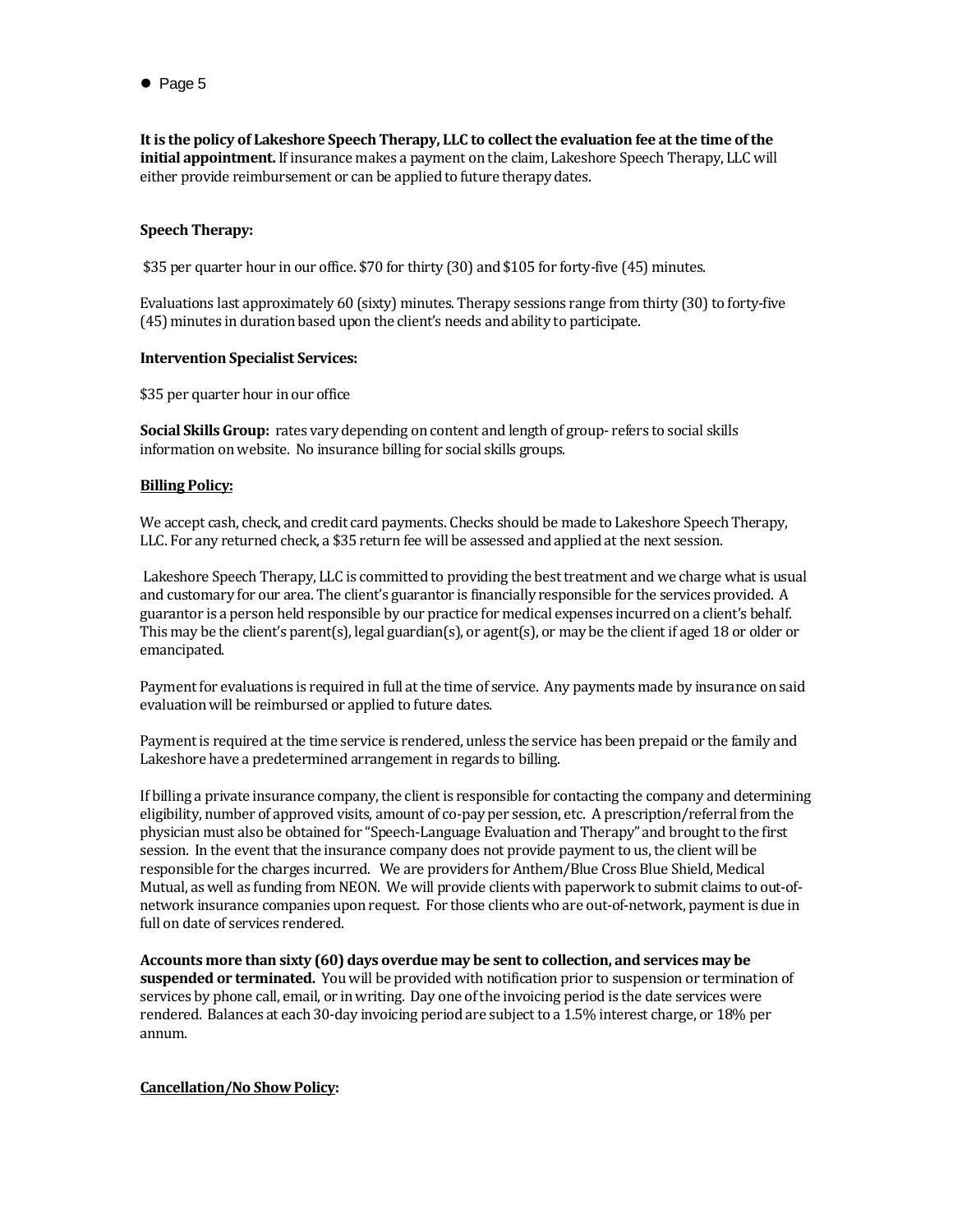**It is the policy of Lakeshore Speech Therapy, LLC to collect the evaluation fee at the time of the initial appointment.** If insurance makes a payment on the claim, Lakeshore Speech Therapy, LLC will either provide reimbursement or can be applied to future therapy dates.

### **Speech Therapy:**

\$35 per quarter hour in our office. \$70 for thirty (30) and \$105 for forty-five (45) minutes.

Evaluations last approximately 60 (sixty) minutes. Therapy sessions range from thirty (30) to forty-five (45) minutes in duration based upon the client's needs and ability to participate.

#### **Intervention Specialist Services:**

\$35 per quarter hour in our office

**Social Skills Group:** rates vary depending on content and length of group- refers to social skills information on website. No insurance billing for social skills groups.

#### **Billing Policy:**

We accept cash, check, and credit card payments. Checks should be made to Lakeshore Speech Therapy, LLC. For any returned check, a \$35 return fee will be assessed and applied at the next session.

Lakeshore Speech Therapy, LLC is committed to providing the best treatment and we charge what is usual and customary for our area. The client's guarantor is financially responsible for the services provided. A guarantor is a person held responsible by our practice for medical expenses incurred on a client's behalf. This may be the client's parent(s), legal guardian(s), or agent(s), or may be the client if aged 18 or older or emancipated.

Payment for evaluations is required in full at the time of service. Any payments made by insurance on said evaluation will be reimbursed or applied to future dates.

Payment is required at the time service is rendered, unless the service has been prepaid or the family and Lakeshore have a predetermined arrangement in regards to billing.

If billing a private insurance company, the client is responsible for contacting the company and determining eligibility, number of approved visits, amount of co-pay per session, etc. A prescription/referral from the physician must also be obtained for "Speech-Language Evaluation and Therapy" and brought to the first session. In the event that the insurance company does not provide payment to us, the client will be responsible for the charges incurred. We are providers for Anthem/Blue Cross Blue Shield, Medical Mutual, as well as funding from NEON. We will provide clients with paperwork to submit claims to out-ofnetwork insurance companies upon request. For those clients who are out-of-network, payment is due in full on date of services rendered.

**Accounts more than sixty (60) days overdue may be sent to collection, and services may be suspended or terminated.** You will be provided with notification prior to suspension or termination of services by phone call, email, or in writing. Day one of the invoicing period is the date services were rendered. Balances at each 30-day invoicing period are subject to a 1.5% interest charge, or 18% per annum.

#### **Cancellation/No Show Policy:**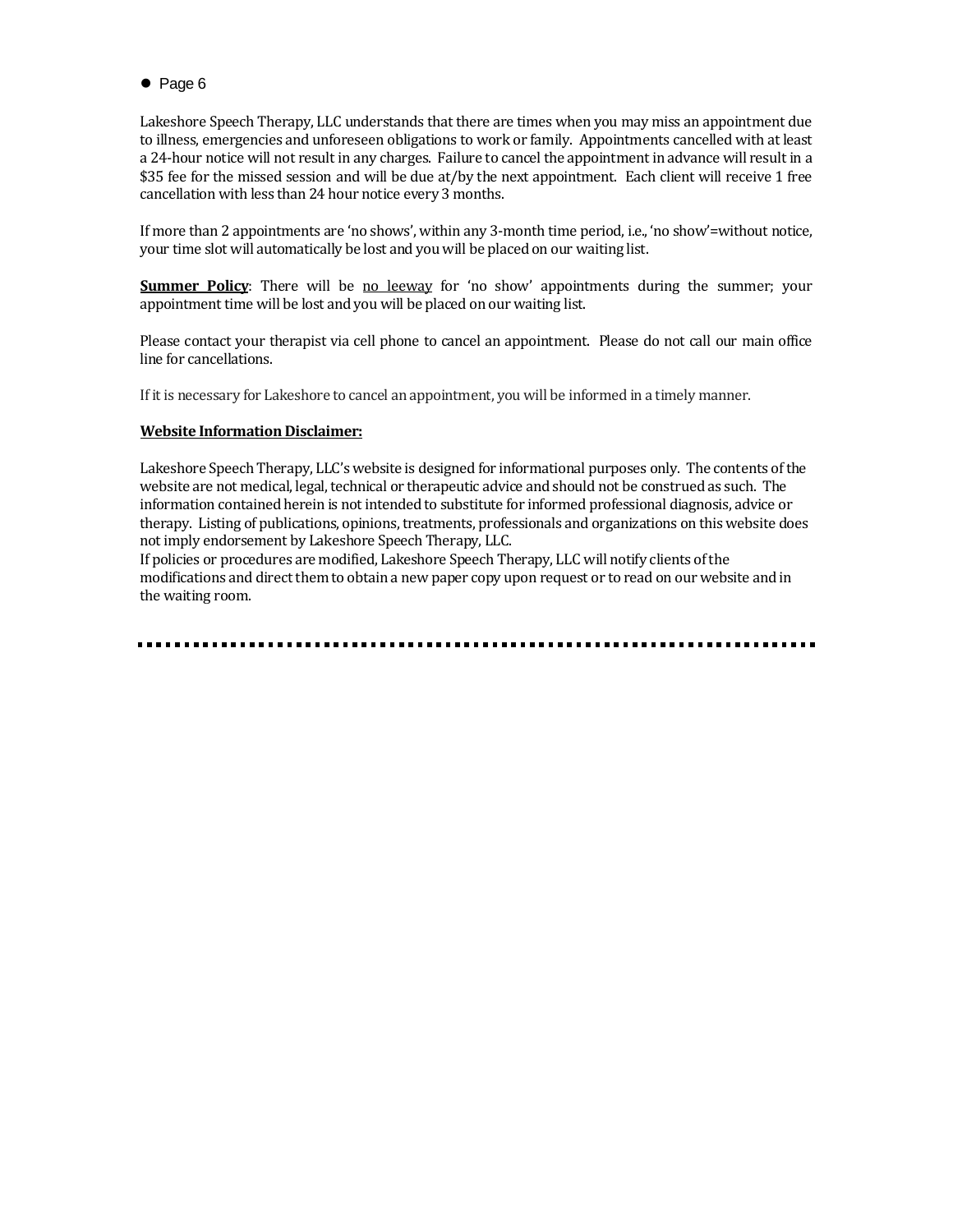Lakeshore Speech Therapy, LLC understands that there are times when you may miss an appointment due to illness, emergencies and unforeseen obligations to work or family. Appointments cancelled with at least a 24-hour notice will not result in any charges. Failure to cancel the appointment in advance will result in a \$35 fee for the missed session and will be due at/by the next appointment. Each client will receive 1 free cancellation with less than 24 hour notice every 3 months.

If more than 2 appointments are 'no shows', within any 3-month time period, i.e., 'no show'=without notice, your time slot will automatically be lost and you will be placed on our waiting list.

**Summer Policy:** There will be no leeway for 'no show' appointments during the summer; your appointment time will be lost and you will be placed on our waiting list.

Please contact your therapist via cell phone to cancel an appointment. Please do not call our main office line for cancellations.

If it is necessary for Lakeshore to cancel an appointment, you will be informed in a timely manner.

### **Website Information Disclaimer:**

Lakeshore Speech Therapy, LLC's website is designed for informational purposes only. The contents of the website are not medical, legal, technical or therapeutic advice and should not be construed as such. The information contained herein is not intended to substitute for informed professional diagnosis, advice or therapy. Listing of publications, opinions, treatments, professionals and organizations on this website does not imply endorsement by Lakeshore Speech Therapy, LLC.

If policies or procedures are modified, Lakeshore Speech Therapy, LLC will notify clients of the modifications and direct them to obtain a new paper copy upon request or to read on our website and in the waiting room.